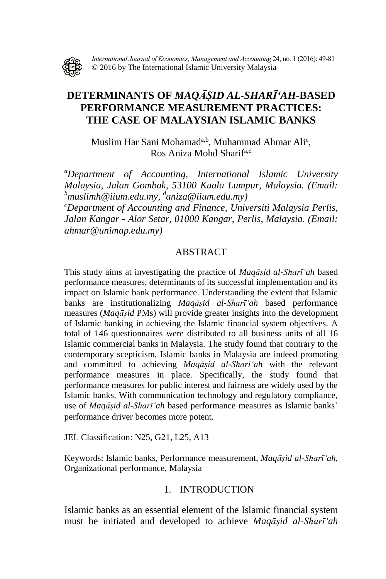

*International Journal of Economics, Management and Accounting* 24, no. 1 (2016): 49-81 © 2016 by The International Islamic University Malaysia

# **DETERMINANTS OF** *MAQĀSIḌ AL-SHARI ̄'AH-***BASED PERFORMANCE MEASUREMENT PRACTICES: THE CASE OF MALAYSIAN ISLAMIC BANKS**

Muslim Har Sani Mohamad<sup>a,b</sup>, Muhammad Ahmar Ali<sup>c</sup>, Ros Aniza Mohd Sharifa,d

*<sup>a</sup>Department of Accounting, International Islamic University Malaysia, Jalan Gombak, 53100 Kuala Lumpur, Malaysia. (Email: <sup>b</sup>muslimh@iium.edu.my, d aniza@iium.edu.my)*

*<sup>c</sup>Department of Accounting and Finance, Universiti Malaysia Perlis, Jalan Kangar - Alor Setar, 01000 Kangar, Perlis, Malaysia. (Email: ahmar@unimap.edu.my)*

### ABSTRACT

This study aims at investigating the practice of *Maqāsiḍ al-Sharī'ah* based performance measures, determinants of its successful implementation and its impact on Islamic bank performance. Understanding the extent that Islamic banks are institutionalizing *Maqāsiḍ al-Sharī'ah* based performance measures (*Maqāsiḍ* PMs) will provide greater insights into the development of Islamic banking in achieving the Islamic financial system objectives. A total of 146 questionnaires were distributed to all business units of all 16 Islamic commercial banks in Malaysia. The study found that contrary to the contemporary scepticism, Islamic banks in Malaysia are indeed promoting and committed to achieving *Maqāsiḍ al-Sharī'ah* with the relevant performance measures in place. Specifically, the study found that performance measures for public interest and fairness are widely used by the Islamic banks. With communication technology and regulatory compliance, use of *Maqāsiḍ al-Sharī'ah* based performance measures as Islamic banks' performance driver becomes more potent.

JEL Classification: N25, G21, L25, A13

Keywords: Islamic banks, Performance measurement, *Maqāsiḍ al-Sharī'ah*, Organizational performance, Malaysia

### 1. INTRODUCTION

Islamic banks as an essential element of the Islamic financial system must be initiated and developed to achieve *Maqāsiḍ al-Sharī'ah*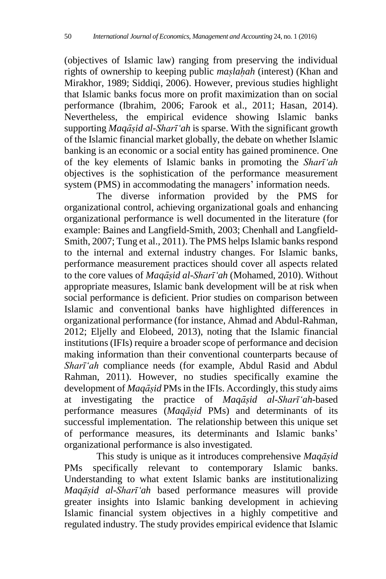(objectives of Islamic law) ranging from preserving the individual rights of ownership to keeping public *maslahah* (interest) (Khan and Mirakhor, 1989; Siddiqi, 2006). However, previous studies highlight that Islamic banks focus more on profit maximization than on social performance (Ibrahim, 2006; Farook et al., 2011; Hasan, 2014). Nevertheless, the empirical evidence showing Islamic banks supporting *Maqāsiḍ al-Sharī'ah* is sparse. With the significant growth of the Islamic financial market globally, the debate on whether Islamic banking is an economic or a social entity has gained prominence. One of the key elements of Islamic banks in promoting the *Sharī'ah* objectives is the sophistication of the performance measurement system (PMS) in accommodating the managers' information needs.

The diverse information provided by the PMS for organizational control, achieving organizational goals and enhancing organizational performance is well documented in the literature (for example: Baines and Langfield-Smith, 2003; Chenhall and Langfield-Smith, 2007; Tung et al.*,* 2011). The PMS helps Islamic banks respond to the internal and external industry changes. For Islamic banks, performance measurement practices should cover all aspects related to the core values of *Maqāsiḍ al-Sharī'ah* (Mohamed, 2010). Without appropriate measures, Islamic bank development will be at risk when social performance is deficient. Prior studies on comparison between Islamic and conventional banks have highlighted differences in organizational performance (for instance, Ahmad and Abdul-Rahman, 2012; Eljelly and Elobeed, 2013), noting that the Islamic financial institutions (IFIs) require a broader scope of performance and decision making information than their conventional counterparts because of *Sharī'ah* compliance needs (for example, Abdul Rasid and Abdul Rahman, 2011). However, no studies specifically examine the development of *Maqāsid* PMs in the IFIs. Accordingly, this study aims at investigating the practice of *Maqāsiḍ al-Sharī'ah-*based performance measures (*Maqāsiḍ* PMs) and determinants of its successful implementation. The relationship between this unique set of performance measures, its determinants and Islamic banks' organizational performance is also investigated.

This study is unique as it introduces comprehensive *Maqāsiḍ* PMs specifically relevant to contemporary Islamic banks. Understanding to what extent Islamic banks are institutionalizing *Maqāsiḍ al-Sharī'ah* based performance measures will provide greater insights into Islamic banking development in achieving Islamic financial system objectives in a highly competitive and regulated industry. The study provides empirical evidence that Islamic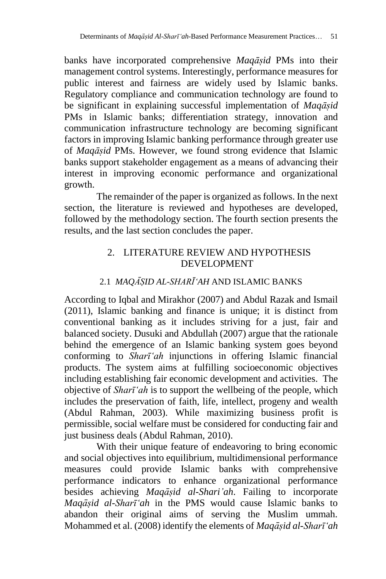banks have incorporated comprehensive *Maqāsiḍ* PMs into their management control systems. Interestingly, performance measures for public interest and fairness are widely used by Islamic banks. Regulatory compliance and communication technology are found to be significant in explaining successful implementation of *Maqāsiḍ* PMs in Islamic banks; differentiation strategy, innovation and communication infrastructure technology are becoming significant factors in improving Islamic banking performance through greater use of *Maqāsiḍ* PMs. However, we found strong evidence that Islamic banks support stakeholder engagement as a means of advancing their interest in improving economic performance and organizational growth.

The remainder of the paper is organized as follows. In the next section, the literature is reviewed and hypotheses are developed, followed by the methodology section. The fourth section presents the results, and the last section concludes the paper.

## 2. LITERATURE REVIEW AND HYPOTHESIS DEVELOPMENT

# 2.1 *MAQĀŞID AL-SHARĪ* 'AH AND ISLAMIC BANKS

According to Iqbal and Mirakhor (2007) and Abdul Razak and Ismail (2011), Islamic banking and finance is unique; it is distinct from conventional banking as it includes striving for a just, fair and balanced society. Dusuki and Abdullah (2007) argue that the rationale behind the emergence of an Islamic banking system goes beyond conforming to *Sharī'ah* injunctions in offering Islamic financial products. The system aims at fulfilling socioeconomic objectives including establishing fair economic development and activities. The objective of *Sharī'ah* is to support the wellbeing of the people, which includes the preservation of faith, life, intellect, progeny and wealth (Abdul Rahman, 2003). While maximizing business profit is permissible, social welfare must be considered for conducting fair and just business deals (Abdul Rahman, 2010).

With their unique feature of endeavoring to bring economic and social objectives into equilibrium, multidimensional performance measures could provide Islamic banks with comprehensive performance indicators to enhance organizational performance besides achieving *Maqāsiḍ al-Shari'ah*. Failing to incorporate *Maqāsiḍ al-Sharī'ah* in the PMS would cause Islamic banks to abandon their original aims of serving the Muslim ummah. Mohammed et al. (2008) identify the elements of *Maqāsiḍ al-Sharī'ah*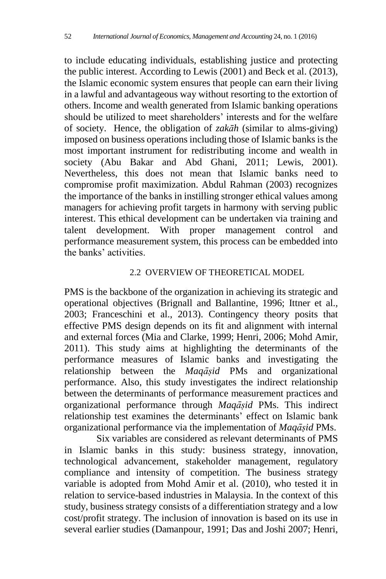to include educating individuals, establishing justice and protecting the public interest. According to Lewis (2001) and Beck et al. (2013), the Islamic economic system ensures that people can earn their living in a lawful and advantageous way without resorting to the extortion of others. Income and wealth generated from Islamic banking operations should be utilized to meet shareholders' interests and for the welfare of society. Hence, the obligation of *zakāh* (similar to alms-giving) imposed on business operations including those of Islamic banks is the most important instrument for redistributing income and wealth in society (Abu Bakar and Abd Ghani, 2011; Lewis, 2001). Nevertheless, this does not mean that Islamic banks need to compromise profit maximization. Abdul Rahman (2003) recognizes the importance of the banks in instilling stronger ethical values among managers for achieving profit targets in harmony with serving public interest. This ethical development can be undertaken via training and talent development. With proper management control and performance measurement system, this process can be embedded into the banks' activities.

## 2.2 OVERVIEW OF THEORETICAL MODEL

PMS is the backbone of the organization in achieving its strategic and operational objectives (Brignall and Ballantine, 1996; Ittner et al.*,* 2003; Franceschini et al., 2013). Contingency theory posits that effective PMS design depends on its fit and alignment with internal and external forces (Mia and Clarke, 1999; Henri, 2006; Mohd Amir, 2011). This study aims at highlighting the determinants of the performance measures of Islamic banks and investigating the relationship between the *Maqāsiḍ* PMs and organizational performance. Also, this study investigates the indirect relationship between the determinants of performance measurement practices and organizational performance through *Maqāsiḍ* PMs. This indirect relationship test examines the determinants' effect on Islamic bank organizational performance via the implementation of *Maqāsiḍ* PMs.

Six variables are considered as relevant determinants of PMS in Islamic banks in this study: business strategy, innovation, technological advancement, stakeholder management, regulatory compliance and intensity of competition. The business strategy variable is adopted from Mohd Amir et al. (2010), who tested it in relation to service-based industries in Malaysia. In the context of this study, business strategy consists of a differentiation strategy and a low cost/profit strategy. The inclusion of innovation is based on its use in several earlier studies (Damanpour, 1991; Das and Joshi 2007; Henri,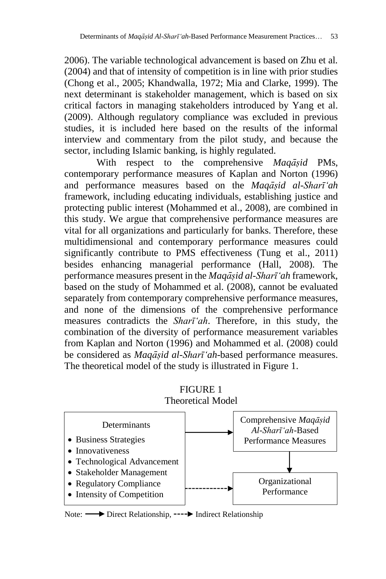2006). The variable technological advancement is based on Zhu et al*.* (2004) and that of intensity of competition is in line with prior studies (Chong et al., 2005; Khandwalla, 1972; Mia and Clarke, 1999). The next determinant is stakeholder management, which is based on six critical factors in managing stakeholders introduced by Yang et al. (2009). Although regulatory compliance was excluded in previous studies, it is included here based on the results of the informal interview and commentary from the pilot study, and because the sector, including Islamic banking, is highly regulated.

With respect to the comprehensive *Maqāsiḍ* PMs, contemporary performance measures of Kaplan and Norton (1996) and performance measures based on the *Maqāsiḍ al-Sharī'ah* framework, including educating individuals, establishing justice and protecting public interest (Mohammed et al., 2008), are combined in this study. We argue that comprehensive performance measures are vital for all organizations and particularly for banks. Therefore, these multidimensional and contemporary performance measures could significantly contribute to PMS effectiveness (Tung et al., 2011) besides enhancing managerial performance (Hall, 2008). The performance measures present in the *Maqāsiḍ al-Sharī'ah* framework, based on the study of Mohammed et al. (2008), cannot be evaluated separately from contemporary comprehensive performance measures, and none of the dimensions of the comprehensive performance measures contradicts the *Sharī'ah*. Therefore, in this study, the combination of the diversity of performance measurement variables from Kaplan and Norton (1996) and Mohammed et al. (2008) could be considered as *Maqāsiḍ al-Sharī'ah*-based performance measures. The theoretical model of the study is illustrated in Figure 1.

## FIGURE 1 Theoretical Model



Note: Direct Relationship, ---- Indirect Relationship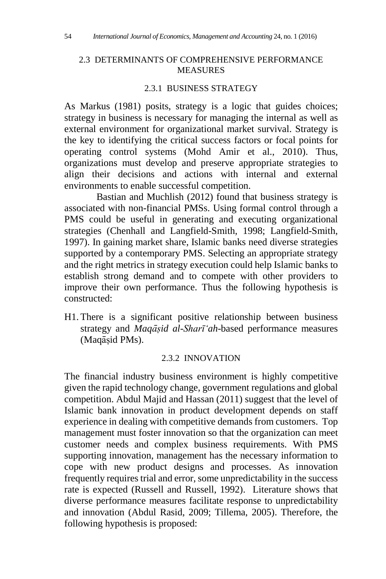#### 2.3 DETERMINANTS OF COMPREHENSIVE PERFORMANCE MEASURES

### 2.3.1 BUSINESS STRATEGY

As Markus (1981) posits, strategy is a logic that guides choices; strategy in business is necessary for managing the internal as well as external environment for organizational market survival. Strategy is the key to identifying the critical success factors or focal points for operating control systems (Mohd Amir et al., 2010). Thus, organizations must develop and preserve appropriate strategies to align their decisions and actions with internal and external environments to enable successful competition.

Bastian and Muchlish (2012) found that business strategy is associated with non-financial PMSs. Using formal control through a PMS could be useful in generating and executing organizational strategies (Chenhall and Langfield-Smith, 1998; Langfield-Smith, 1997). In gaining market share, Islamic banks need diverse strategies supported by a contemporary PMS. Selecting an appropriate strategy and the right metrics in strategy execution could help Islamic banks to establish strong demand and to compete with other providers to improve their own performance. Thus the following hypothesis is constructed:

H1. There is a significant positive relationship between business strategy and *Maqāsiḍ al-Sharī'ah*-based performance measures (Maqāsiḍ PMs).

#### 2.3.2 INNOVATION

The financial industry business environment is highly competitive given the rapid technology change, government regulations and global competition. Abdul Majid and Hassan (2011) suggest that the level of Islamic bank innovation in product development depends on staff experience in dealing with competitive demands from customers. Top management must foster innovation so that the organization can meet customer needs and complex business requirements. With PMS supporting innovation, management has the necessary information to cope with new product designs and processes. As innovation frequently requires trial and error, some unpredictability in the success rate is expected (Russell and Russell, 1992). Literature shows that diverse performance measures facilitate response to unpredictability and innovation (Abdul Rasid, 2009; Tillema, 2005). Therefore, the following hypothesis is proposed: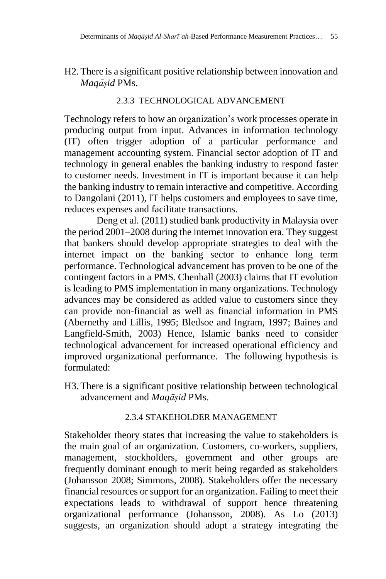H2. There is a significant positive relationship between innovation and *Maqāsiḍ* PMs.

## 2.3.3 TECHNOLOGICAL ADVANCEMENT

Technology refers to how an organization's work processes operate in producing output from input. Advances in information technology (IT) often trigger adoption of a particular performance and management accounting system. Financial sector adoption of IT and technology in general enables the banking industry to respond faster to customer needs. Investment in IT is important because it can help the banking industry to remain interactive and competitive. According to Dangolani (2011), IT helps customers and employees to save time, reduces expenses and facilitate transactions.

Deng et al. (2011) studied bank productivity in Malaysia over the period 2001–2008 during the internet innovation era. They suggest that bankers should develop appropriate strategies to deal with the internet impact on the banking sector to enhance long term performance. Technological advancement has proven to be one of the contingent factors in a PMS. Chenhall (2003) claims that IT evolution is leading to PMS implementation in many organizations. Technology advances may be considered as added value to customers since they can provide non-financial as well as financial information in PMS (Abernethy and Lillis, 1995; Bledsoe and Ingram, 1997; Baines and Langfield-Smith, 2003) Hence, Islamic banks need to consider technological advancement for increased operational efficiency and improved organizational performance. The following hypothesis is formulated:

H3. There is a significant positive relationship between technological advancement and *Maqāsiḍ* PMs.

### 2.3.4 STAKEHOLDER MANAGEMENT

Stakeholder theory states that increasing the value to stakeholders is the main goal of an organization. Customers, co-workers, suppliers, management, stockholders, government and other groups are frequently dominant enough to merit being regarded as stakeholders (Johansson 2008; Simmons, 2008). Stakeholders offer the necessary financial resources or support for an organization. Failing to meet their expectations leads to withdrawal of support hence threatening organizational performance (Johansson, 2008). As Lo (2013) suggests, an organization should adopt a strategy integrating the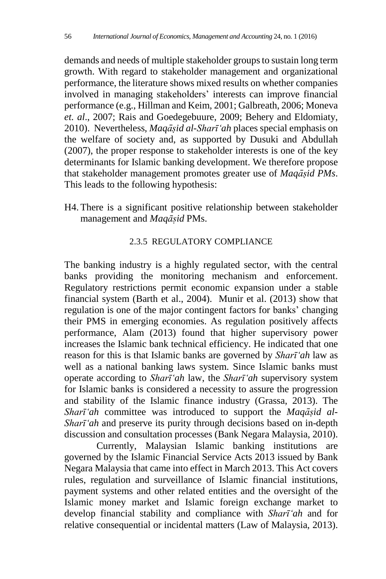demands and needs of multiple stakeholder groups to sustain long term growth. With regard to stakeholder management and organizational performance, the literature shows mixed results on whether companies involved in managing stakeholders' interests can improve financial performance (e.g., Hillman and Keim, 2001; Galbreath, 2006; Moneva *et. al*., 2007; Rais and Goedegebuure, 2009; Behery and Eldomiaty, 2010). Nevertheless, *Maqāsiḍ al-Sharī'ah* places special emphasis on the welfare of society and, as supported by Dusuki and Abdullah (2007), the proper response to stakeholder interests is one of the key determinants for Islamic banking development. We therefore propose that stakeholder management promotes greater use of *Maqāsiḍ PMs*. This leads to the following hypothesis:

H4. There is a significant positive relationship between stakeholder management and *Maqāsiḍ* PMs.

## 2.3.5 REGULATORY COMPLIANCE

The banking industry is a highly regulated sector, with the central banks providing the monitoring mechanism and enforcement. Regulatory restrictions permit economic expansion under a stable financial system (Barth et al., 2004). Munir et al. (2013) show that regulation is one of the major contingent factors for banks' changing their PMS in emerging economies. As regulation positively affects performance, Alam (2013) found that higher supervisory power increases the Islamic bank technical efficiency. He indicated that one reason for this is that Islamic banks are governed by *Sharī'ah* law as well as a national banking laws system. Since Islamic banks must operate according to *Sharī'ah* law, the *Sharī'ah* supervisory system for Islamic banks is considered a necessity to assure the progression and stability of the Islamic finance industry (Grassa, 2013). The *Sharī'ah* committee was introduced to support the *Maqāsiḍ al-Sharī'ah* and preserve its purity through decisions based on in-depth discussion and consultation processes (Bank Negara Malaysia, 2010).

Currently, Malaysian Islamic banking institutions are governed by the Islamic Financial Service Acts 2013 issued by Bank Negara Malaysia that came into effect in March 2013. This Act covers rules, regulation and surveillance of Islamic financial institutions, payment systems and other related entities and the oversight of the Islamic money market and Islamic foreign exchange market to develop financial stability and compliance with *Sharī'ah* and for relative consequential or incidental matters (Law of Malaysia, 2013).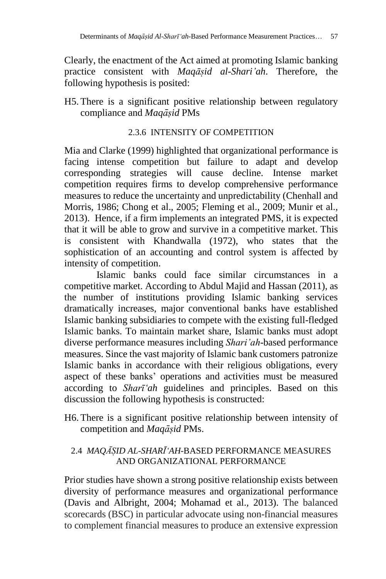Clearly, the enactment of the Act aimed at promoting Islamic banking practice consistent with *Maqāsiḍ al-Shari'ah*. Therefore, the following hypothesis is posited:

H5. There is a significant positive relationship between regulatory compliance and *Maqāsiḍ* PMs

## 2.3.6 INTENSITY OF COMPETITION

Mia and Clarke (1999) highlighted that organizational performance is facing intense competition but failure to adapt and develop corresponding strategies will cause decline. Intense market competition requires firms to develop comprehensive performance measures to reduce the uncertainty and unpredictability (Chenhall and Morris, 1986; Chong et al., 2005; Fleming et al., 2009; Munir et al., 2013). Hence, if a firm implements an integrated PMS, it is expected that it will be able to grow and survive in a competitive market. This is consistent with Khandwalla (1972), who states that the sophistication of an accounting and control system is affected by intensity of competition.

Islamic banks could face similar circumstances in a competitive market. According to Abdul Majid and Hassan (2011), as the number of institutions providing Islamic banking services dramatically increases, major conventional banks have established Islamic banking subsidiaries to compete with the existing full-fledged Islamic banks. To maintain market share, Islamic banks must adopt diverse performance measures including *Shari'ah*-based performance measures. Since the vast majority of Islamic bank customers patronize Islamic banks in accordance with their religious obligations, every aspect of these banks' operations and activities must be measured according to *Sharī'ah* guidelines and principles. Based on this discussion the following hypothesis is constructed:

H6. There is a significant positive relationship between intensity of competition and *Maqāsiḍ* PMs.

## 2.4 *MAQĀSIḌ AL-SHARĪ'AH*-BASED PERFORMANCE MEASURES AND ORGANIZATIONAL PERFORMANCE

Prior studies have shown a strong positive relationship exists between diversity of performance measures and organizational performance (Davis and Albright, 2004; Mohamad et al.*,* 2013). The balanced scorecards (BSC) in particular advocate using non-financial measures to complement financial measures to produce an extensive expression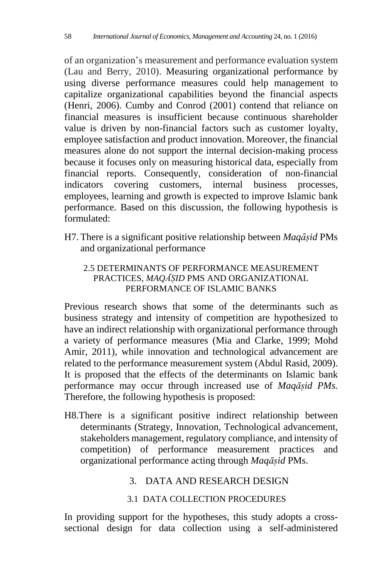of an organization's measurement and performance evaluation system (Lau and Berry, 2010). Measuring organizational performance by using diverse performance measures could help management to capitalize organizational capabilities beyond the financial aspects (Henri, 2006). Cumby and Conrod (2001) contend that reliance on financial measures is insufficient because continuous shareholder value is driven by non-financial factors such as customer loyalty, employee satisfaction and product innovation. Moreover, the financial measures alone do not support the internal decision-making process because it focuses only on measuring historical data, especially from financial reports. Consequently, consideration of non-financial indicators covering customers, internal business processes, employees, learning and growth is expected to improve Islamic bank performance. Based on this discussion, the following hypothesis is formulated:

H7. There is a significant positive relationship between *Maqāsiḍ* PMs and organizational performance

## 2.5 DETERMINANTS OF PERFORMANCE MEASUREMENT PRACTICES, *MAQĀSIḌ* PMS AND ORGANIZATIONAL PERFORMANCE OF ISLAMIC BANKS

Previous research shows that some of the determinants such as business strategy and intensity of competition are hypothesized to have an indirect relationship with organizational performance through a variety of performance measures (Mia and Clarke, 1999; Mohd Amir, 2011), while innovation and technological advancement are related to the performance measurement system (Abdul Rasid, 2009). It is proposed that the effects of the determinants on Islamic bank performance may occur through increased use of *Maqāsiḍ PMs.* Therefore, the following hypothesis is proposed:

H8.There is a significant positive indirect relationship between determinants (Strategy, Innovation, Technological advancement, stakeholders management, regulatory compliance, and intensity of competition) of performance measurement practices and organizational performance acting through *Maqāsiḍ* PMs.

## 3. DATA AND RESEARCH DESIGN

## 3.1 DATA COLLECTION PROCEDURES

In providing support for the hypotheses, this study adopts a crosssectional design for data collection using a self-administered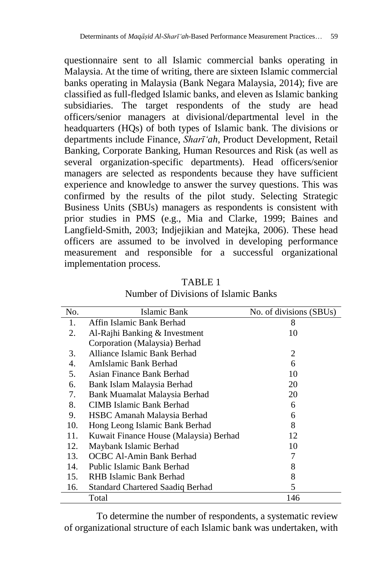questionnaire sent to all Islamic commercial banks operating in Malaysia. At the time of writing, there are sixteen Islamic commercial banks operating in Malaysia (Bank Negara Malaysia, 2014); five are classified as full-fledged Islamic banks, and eleven as Islamic banking subsidiaries. The target respondents of the study are head officers/senior managers at divisional/departmental level in the headquarters (HQs) of both types of Islamic bank. The divisions or departments include Finance, *Sharī'ah*, Product Development, Retail Banking, Corporate Banking, Human Resources and Risk (as well as several organization-specific departments). Head officers/senior managers are selected as respondents because they have sufficient experience and knowledge to answer the survey questions. This was confirmed by the results of the pilot study. Selecting Strategic Business Units (SBUs) managers as respondents is consistent with prior studies in PMS (e.g., Mia and Clarke, 1999; Baines and Langfield-Smith, 2003; Indjejikian and Matejka, 2006). These head officers are assumed to be involved in developing performance measurement and responsible for a successful organizational implementation process.

| No. | Islamic Bank                           | No. of divisions (SBUs) |
|-----|----------------------------------------|-------------------------|
| 1.  | Affin Islamic Bank Berhad              | 8                       |
| 2.  | Al-Rajhi Banking & Investment          | 10                      |
|     | Corporation (Malaysia) Berhad          |                         |
| 3.  | Alliance Islamic Bank Berhad           | 2                       |
| 4.  | AmIslamic Bank Berhad                  | 6                       |
| 5.  | Asian Finance Bank Berhad              | 10                      |
| 6.  | Bank Islam Malaysia Berhad             | 20                      |
| 7.  | Bank Muamalat Malaysia Berhad          | 20                      |
| 8.  | CIMB Islamic Bank Berhad               | 6                       |
| 9.  | HSBC Amanah Malaysia Berhad            | 6                       |
| 10. | Hong Leong Islamic Bank Berhad         | 8                       |
| 11. | Kuwait Finance House (Malaysia) Berhad | 12                      |
| 12. | Maybank Islamic Berhad                 | 10                      |
| 13. | OCBC Al-Amin Bank Berhad               | 7                       |
| 14. | Public Islamic Bank Berhad             | 8                       |
| 15. | RHB Islamic Bank Berhad                | 8                       |
| 16. | Standard Chartered Saadiq Berhad       | 5                       |
|     | Total                                  | 146                     |

TABLE 1 Number of Divisions of Islamic Banks

To determine the number of respondents, a systematic review of organizational structure of each Islamic bank was undertaken, with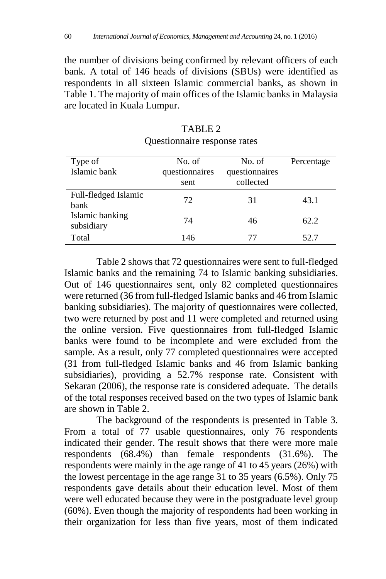the number of divisions being confirmed by relevant officers of each bank. A total of 146 heads of divisions (SBUs) were identified as respondents in all sixteen Islamic commercial banks, as shown in Table 1. The majority of main offices of the Islamic banks in Malaysia are located in Kuala Lumpur.

| Type of<br>Islamic bank       | No. of<br>questionnaires<br>sent | No. of<br>questionnaires<br>collected | Percentage |
|-------------------------------|----------------------------------|---------------------------------------|------------|
| Full-fledged Islamic<br>bank  | 72                               | 31                                    | 43.1       |
| Islamic banking<br>subsidiary | 74                               | 46                                    | 62.2       |
| Total                         | 146                              | 77                                    | 52.7       |

| TABLE 2                      |  |
|------------------------------|--|
| Questionnaire response rates |  |

Table 2 shows that 72 questionnaires were sent to full-fledged Islamic banks and the remaining 74 to Islamic banking subsidiaries. Out of 146 questionnaires sent, only 82 completed questionnaires were returned (36 from full-fledged Islamic banks and 46 from Islamic banking subsidiaries). The majority of questionnaires were collected, two were returned by post and 11 were completed and returned using the online version. Five questionnaires from full-fledged Islamic banks were found to be incomplete and were excluded from the sample. As a result, only 77 completed questionnaires were accepted (31 from full-fledged Islamic banks and 46 from Islamic banking subsidiaries), providing a 52.7% response rate. Consistent with Sekaran (2006), the response rate is considered adequate. The details of the total responses received based on the two types of Islamic bank are shown in Table 2.

The background of the respondents is presented in Table 3. From a total of 77 usable questionnaires, only 76 respondents indicated their gender. The result shows that there were more male respondents (68.4%) than female respondents (31.6%). The respondents were mainly in the age range of 41 to 45 years (26%) with the lowest percentage in the age range 31 to 35 years (6.5%). Only 75 respondents gave details about their education level. Most of them were well educated because they were in the postgraduate level group (60%). Even though the majority of respondents had been working in their organization for less than five years, most of them indicated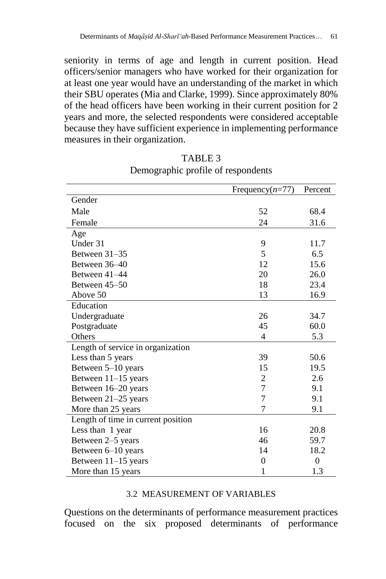seniority in terms of age and length in current position. Head officers/senior managers who have worked for their organization for at least one year would have an understanding of the market in which their SBU operates (Mia and Clarke, 1999). Since approximately 80% of the head officers have been working in their current position for 2 years and more, the selected respondents were considered acceptable because they have sufficient experience in implementing performance measures in their organization.

|                                    | Frequency $(n=77)$ | Percent  |
|------------------------------------|--------------------|----------|
| Gender                             |                    |          |
| Male                               | 52                 | 68.4     |
| Female                             | 24                 | 31.6     |
| Age                                |                    |          |
| Under 31                           | 9                  | 11.7     |
| Between $31-35$                    | 5                  | 6.5      |
| Between 36-40                      | 12                 | 15.6     |
| Between 41-44                      | 20                 | 26.0     |
| Between 45–50                      | 18                 | 23.4     |
| Above 50                           | 13                 | 16.9     |
| Education                          |                    |          |
| Undergraduate                      | 26                 | 34.7     |
| Postgraduate                       | 45                 | 60.0     |
| Others                             | 4                  | 5.3      |
| Length of service in organization  |                    |          |
| Less than 5 years                  | 39                 | 50.6     |
| Between 5-10 years                 | 15                 | 19.5     |
| Between 11-15 years                | $\overline{c}$     | 2.6      |
| Between 16-20 years                | $\overline{7}$     | 9.1      |
| Between 21-25 years                | $\overline{7}$     | 9.1      |
| More than 25 years                 | 7                  | 9.1      |
| Length of time in current position |                    |          |
| Less than 1 year                   | 16                 | 20.8     |
| Between 2–5 years                  | 46                 | 59.7     |
| Between 6-10 years                 | 14                 | 18.2     |
| Between 11–15 years                | $\theta$           | $\theta$ |
| More than 15 years                 | 1                  | 1.3      |

TABLE 3 Demographic profile of respondents

#### 3.2 MEASUREMENT OF VARIABLES

Questions on the determinants of performance measurement practices focused on the six proposed determinants of performance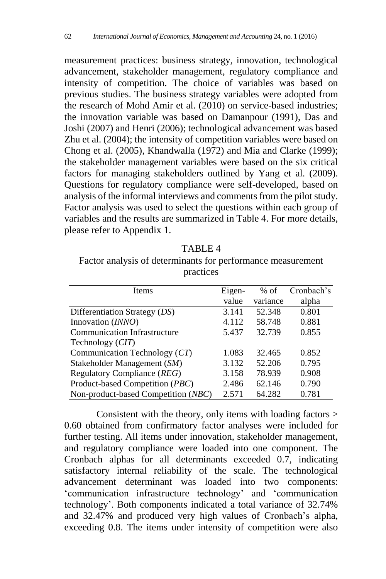measurement practices: business strategy, innovation, technological advancement, stakeholder management, regulatory compliance and intensity of competition. The choice of variables was based on previous studies. The business strategy variables were adopted from the research of Mohd Amir et al. (2010) on service-based industries; the innovation variable was based on Damanpour (1991), Das and Joshi (2007) and Henri (2006); technological advancement was based Zhu et al. (2004); the intensity of competition variables were based on Chong et al. (2005), Khandwalla (1972) and Mia and Clarke (1999); the stakeholder management variables were based on the six critical factors for managing stakeholders outlined by Yang et al. (2009). Questions for regulatory compliance were self-developed, based on analysis of the informal interviews and comments from the pilot study. Factor analysis was used to select the questions within each group of variables and the results are summarized in Table 4. For more details, please refer to Appendix 1.

| н<br>חי |
|---------|
|---------|

Factor analysis of determinants for performance measurement practices

| <b>I</b> tems                       | Eigen- | $%$ of   | Cronbach's |
|-------------------------------------|--------|----------|------------|
|                                     | value  | variance | alpha      |
| Differentiation Strategy (DS)       | 3.141  | 52.348   | 0.801      |
| Innovation (INNO)                   | 4.112  | 58.748   | 0.881      |
| <b>Communication Infrastructure</b> | 5.437  | 32.739   | 0.855      |
| Technology (CIT)                    |        |          |            |
| Communication Technology (CT)       | 1.083  | 32.465   | 0.852      |
| Stakeholder Management (SM)         | 3.132  | 52.206   | 0.795      |
| Regulatory Compliance (REG)         | 3.158  | 78.939   | 0.908      |
| Product-based Competition (PBC)     | 2.486  | 62.146   | 0.790      |
| Non-product-based Competition (NBC) | 2.571  | 64.282   | 0.781      |

Consistent with the theory, only items with loading factors > 0.60 obtained from confirmatory factor analyses were included for further testing. All items under innovation, stakeholder management, and regulatory compliance were loaded into one component. The Cronbach alphas for all determinants exceeded 0.7, indicating satisfactory internal reliability of the scale. The technological advancement determinant was loaded into two components: 'communication infrastructure technology' and 'communication technology'. Both components indicated a total variance of 32.74% and 32.47% and produced very high values of Cronbach's alpha, exceeding 0.8. The items under intensity of competition were also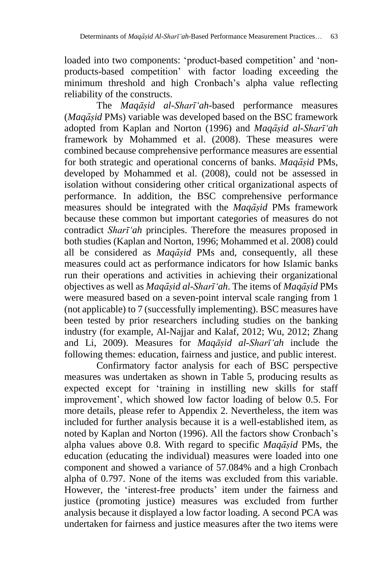loaded into two components: 'product-based competition' and 'nonproducts-based competition' with factor loading exceeding the minimum threshold and high Cronbach's alpha value reflecting reliability of the constructs.

The *Maqāsiḍ al-Sharī'ah-*based performance measures (*Maqāsiḍ* PMs) variable was developed based on the BSC framework adopted from Kaplan and Norton (1996) and *Maqāsiḍ al-Sharī'ah* framework by Mohammed et al. (2008). These measures were combined because comprehensive performance measures are essential for both strategic and operational concerns of banks. *Maqāsiḍ* PMs, developed by Mohammed et al. (2008), could not be assessed in isolation without considering other critical organizational aspects of performance. In addition, the BSC comprehensive performance measures should be integrated with the *Maqāsiḍ* PMs framework because these common but important categories of measures do not contradict *Sharī'ah* principles. Therefore the measures proposed in both studies (Kaplan and Norton, 1996; Mohammed et al. 2008) could all be considered as *Maqāsiḍ* PMs and, consequently, all these measures could act as performance indicators for how Islamic banks run their operations and activities in achieving their organizational objectives as well as *Maqāsiḍ al-Sharī'ah*. The items of *Maqāsiḍ* PMs were measured based on a seven-point interval scale ranging from 1 (not applicable) to 7 (successfully implementing). BSC measures have been tested by prior researchers including studies on the banking industry (for example, Al-Najjar and Kalaf, 2012; Wu, 2012; Zhang and Li, 2009). Measures for *Maqāsiḍ al-Sharī'ah* include the following themes: education, fairness and justice, and public interest.

Confirmatory factor analysis for each of BSC perspective measures was undertaken as shown in Table 5, producing results as expected except for 'training in instilling new skills for staff improvement', which showed low factor loading of below 0.5. For more details, please refer to Appendix 2. Nevertheless, the item was included for further analysis because it is a well-established item, as noted by Kaplan and Norton (1996). All the factors show Cronbach's alpha values above 0.8. With regard to specific *Maqāsiḍ* PMs, the education (educating the individual) measures were loaded into one component and showed a variance of 57.084% and a high Cronbach alpha of 0.797. None of the items was excluded from this variable. However, the 'interest-free products' item under the fairness and justice (promoting justice) measures was excluded from further analysis because it displayed a low factor loading. A second PCA was undertaken for fairness and justice measures after the two items were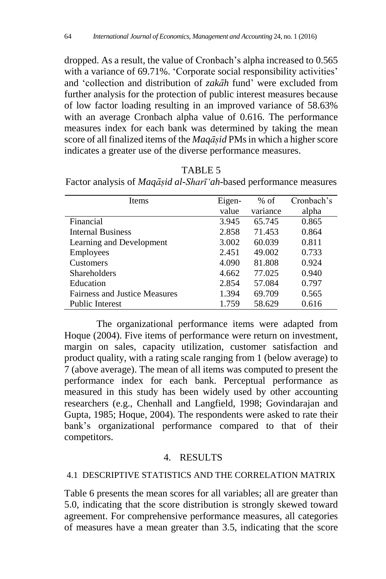dropped. As a result, the value of Cronbach's alpha increased to 0.565 with a variance of 69.71%. 'Corporate social responsibility activities' and 'collection and distribution of *zakāh* fund' were excluded from further analysis for the protection of public interest measures because of low factor loading resulting in an improved variance of 58.63% with an average Cronbach alpha value of 0.616. The performance measures index for each bank was determined by taking the mean score of all finalized items of the *Magasid* PMs in which a higher score indicates a greater use of the diverse performance measures.

| Items                                | Eigen- | $%$ of   | Cronbach's |
|--------------------------------------|--------|----------|------------|
|                                      | value  | variance | alpha      |
| Financial                            | 3.945  | 65.745   | 0.865      |
| <b>Internal Business</b>             | 2.858  | 71.453   | 0.864      |
| Learning and Development             | 3.002  | 60.039   | 0.811      |
| Employees                            | 2.451  | 49.002   | 0.733      |
| <b>Customers</b>                     | 4.090  | 81.808   | 0.924      |
| <b>Shareholders</b>                  | 4.662  | 77.025   | 0.940      |
| Education                            | 2.854  | 57.084   | 0.797      |
| <b>Fairness and Justice Measures</b> | 1.394  | 69.709   | 0.565      |
| Public Interest                      | 1.759  | 58.629   | 0.616      |

TABLE 5 Factor analysis of *Maqāsiḍ al-Sharī'ah*-based performance measures

The organizational performance items were adapted from Hoque (2004). Five items of performance were return on investment, margin on sales, capacity utilization, customer satisfaction and product quality, with a rating scale ranging from 1 (below average) to 7 (above average). The mean of all items was computed to present the performance index for each bank. Perceptual performance as measured in this study has been widely used by other accounting researchers (e.g., Chenhall and Langfield, 1998; Govindarajan and Gupta, 1985; Hoque, 2004). The respondents were asked to rate their bank's organizational performance compared to that of their competitors.

### 4. RESULTS

### 4.1 DESCRIPTIVE STATISTICS AND THE CORRELATION MATRIX

Table 6 presents the mean scores for all variables; all are greater than 5.0, indicating that the score distribution is strongly skewed toward agreement. For comprehensive performance measures, all categories of measures have a mean greater than 3.5, indicating that the score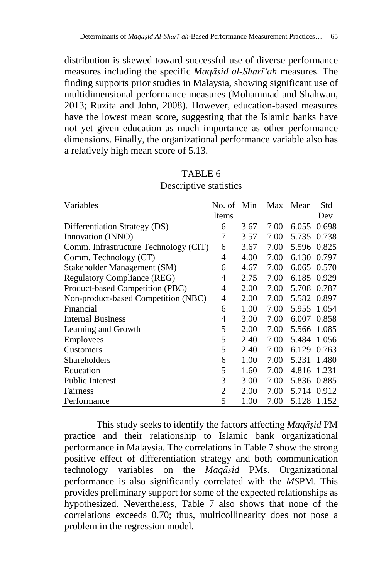distribution is skewed toward successful use of diverse performance measures including the specific *Maqāsiḍ al-Sharī'ah* measures. The finding supports prior studies in Malaysia, showing significant use of multidimensional performance measures (Mohammad and Shahwan, 2013; Ruzita and John, 2008). However, education-based measures have the lowest mean score, suggesting that the Islamic banks have not yet given education as much importance as other performance dimensions. Finally, the organizational performance variable also has a relatively high mean score of 5.13.

| Variables                             | No. of Min |      | Max  | Mean  | Std   |
|---------------------------------------|------------|------|------|-------|-------|
|                                       | Items      |      |      |       | Dev.  |
| Differentiation Strategy (DS)         | 6          | 3.67 | 7.00 | 6.055 | 0.698 |
| Innovation (INNO)                     | 7          | 3.57 | 7.00 | 5.735 | 0.738 |
| Comm. Infrastructure Technology (CIT) | 6          | 3.67 | 7.00 | 5.596 | 0.825 |
| Comm. Technology (CT)                 | 4          | 4.00 | 7.00 | 6.130 | 0.797 |
| Stakeholder Management (SM)           | 6          | 4.67 | 7.00 | 6.065 | 0.570 |
| <b>Regulatory Compliance (REG)</b>    | 4          | 2.75 | 7.00 | 6.185 | 0.929 |
| Product-based Competition (PBC)       | 4          | 2.00 | 7.00 | 5.708 | 0.787 |
| Non-product-based Competition (NBC)   | 4          | 2.00 | 7.00 | 5.582 | 0.897 |
| Financial                             | 6          | 1.00 | 7.00 | 5.955 | 1.054 |
| <b>Internal Business</b>              | 4          | 3.00 | 7.00 | 6.007 | 0.858 |
| Learning and Growth                   | 5          | 2.00 | 7.00 | 5.566 | 1.085 |
| Employees                             | 5          | 2.40 | 7.00 | 5.484 | 1.056 |
| Customers                             | 5          | 2.40 | 7.00 | 6.129 | 0.763 |
| Shareholders                          | 6          | 1.00 | 7.00 | 5.231 | 1.480 |
| Education                             | 5          | 1.60 | 7.00 | 4.816 | 1.231 |
| <b>Public Interest</b>                | 3          | 3.00 | 7.00 | 5.836 | 0.885 |
| Fairness                              | 2          | 2.00 | 7.00 | 5.714 | 0.912 |
| Performance                           | 5          | 1.00 | 7.00 | 5.128 | 1.152 |

TABLE 6 Descriptive statistics

This study seeks to identify the factors affecting *Maqāsiḍ* PM practice and their relationship to Islamic bank organizational performance in Malaysia. The correlations in Table 7 show the strong positive effect of differentiation strategy and both communication technology variables on the *Maqāsiḍ* PMs. Organizational performance is also significantly correlated with the *MS*PM. This provides preliminary support for some of the expected relationships as hypothesized. Nevertheless, Table 7 also shows that none of the correlations exceeds 0.70; thus, multicollinearity does not pose a problem in the regression model.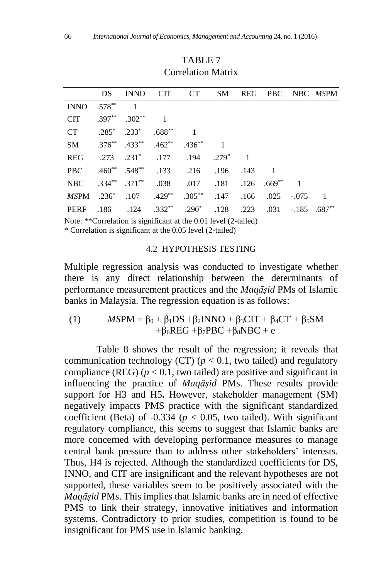|             |               |                               |                                                 | DS INNO CIT CT SM                                                      |      |      |                  | REG PBC NBC MSPM |
|-------------|---------------|-------------------------------|-------------------------------------------------|------------------------------------------------------------------------|------|------|------------------|------------------|
| <b>INNO</b> | $.578^{**}$ 1 |                               |                                                 |                                                                        |      |      |                  |                  |
| <b>CIT</b>  |               | $.397^{**}$ $.302^{**}$ 1     |                                                 |                                                                        |      |      |                  |                  |
| CT C        |               | $.285^*$ $.233^*$ $.688^{**}$ |                                                 |                                                                        |      |      |                  |                  |
| SM          |               |                               | $.376^{**}$ $.433^{**}$ $.462^{**}$ $.436^{**}$ |                                                                        |      |      |                  |                  |
| <b>REG</b>  |               |                               |                                                 | .273 .231* .177 .194 .279* 1                                           |      |      |                  |                  |
| <b>PBC</b>  |               |                               |                                                 | .460** .548** .133 .216 .196 .143 1                                    |      |      |                  |                  |
| NBC         |               |                               |                                                 | .334** .371** .038 .017 .181 .126 .669** 1                             |      |      |                  |                  |
|             |               |                               |                                                 | MSPM .236 <sup>*</sup> .107 .429 <sup>**</sup> .305 <sup>**</sup> .147 | .166 | .025 | $-.075 \qquad 1$ |                  |
| PERF        |               |                               |                                                 | $.186$ $.124$ $.332^{**}$ $.290^{*}$ $.128$ $.223$                     |      | .031 |                  | $-.185$ $.687**$ |

## TABLE 7 Correlation Matrix

Note: \*\*Correlation is significant at the 0.01 level (2-tailed)

\* Correlation is significant at the 0.05 level (2-tailed)

#### 4.2 HYPOTHESIS TESTING

Multiple regression analysis was conducted to investigate whether there is any direct relationship between the determinants of performance measurement practices and the *Maqāsiḍ* PMs of Islamic banks in Malaysia. The regression equation is as follows:

(1)  $MSPM = \beta_0 + \beta_1 DS + \beta_2 INNO + \beta_3 CIT + \beta_4 CT + \beta_5 SM$  $+\beta_6$ REG + $\beta_7$ PBC + $\beta_8$ NBC + e

Table 8 shows the result of the regression; it reveals that communication technology (CT)  $(p < 0.1$ , two tailed) and regulatory compliance (REG) ( $p < 0.1$ , two tailed) are positive and significant in influencing the practice of *Maqāsiḍ* PMs. These results provide support for H3 and H5**.** However, stakeholder management (SM) negatively impacts PMS practice with the significant standardized coefficient (Beta) of  $-0.334$  ( $p < 0.05$ , two tailed). With significant regulatory compliance, this seems to suggest that Islamic banks are more concerned with developing performance measures to manage central bank pressure than to address other stakeholders' interests. Thus, H4 is rejected. Although the standardized coefficients for DS, INNO, and CIT are insignificant and the relevant hypotheses are not supported, these variables seem to be positively associated with the *Maqāsiḍ* PMs. This implies that Islamic banks are in need of effective PMS to link their strategy, innovative initiatives and information systems. Contradictory to prior studies, competition is found to be insignificant for PMS use in Islamic banking.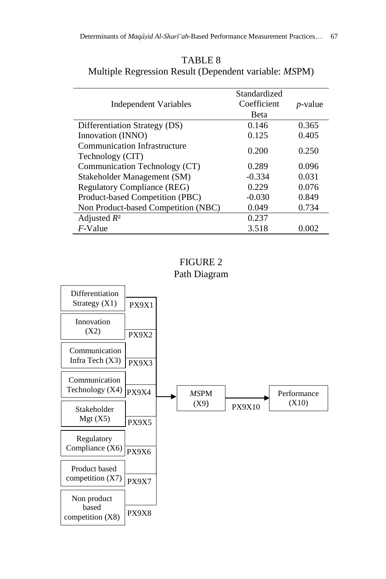| Independent Variables                            | Standardized<br>Coefficient<br>Beta | <i>p</i> -value |
|--------------------------------------------------|-------------------------------------|-----------------|
| Differentiation Strategy (DS)                    | 0.146                               | 0.365           |
| Innovation (INNO)                                | 0.125                               | 0.405           |
| Communication Infrastructure<br>Technology (CIT) | 0.200                               | 0.250           |
| Communication Technology (CT)                    | 0.289                               | 0.096           |
| Stakeholder Management (SM)                      | $-0.334$                            | 0.031           |
| <b>Regulatory Compliance (REG)</b>               | 0.229                               | 0.076           |
| Product-based Competition (PBC)                  | $-0.030$                            | 0.849           |
| Non Product-based Competition (NBC)              | 0.049                               | 0.734           |
| Adjusted $R^2$                                   | 0.237                               |                 |
| $F$ -Value                                       | 3.518                               | 0.002           |

TABLE 8 Multiple Regression Result (Dependent variable: *MS*PM)

FIGURE 2 Path Diagram

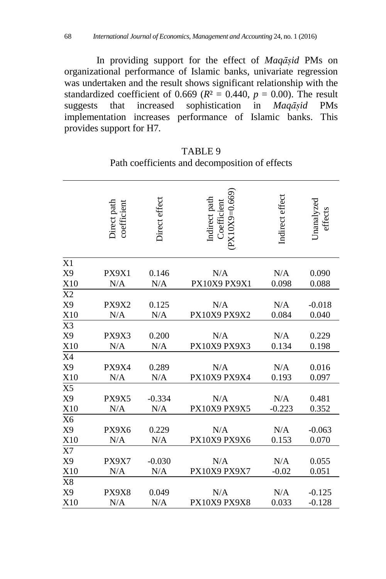In providing support for the effect of *Maqāsiḍ* PMs on organizational performance of Islamic banks, univariate regression was undertaken and the result shows significant relationship with the standardized coefficient of 0.669 ( $R<sup>2</sup> = 0.440$ ,  $p = 0.00$ ). The result suggests that increased sophistication in *Maqāsiḍ* PMs implementation increases performance of Islamic banks. This provides support for H7*.*

|                | Direct path<br>coefficient | Direct effect | $(PX10X9=0.669)$<br>Indirect path<br>Coefficient | Indirect effect | Unanalyzed<br>effects |
|----------------|----------------------------|---------------|--------------------------------------------------|-----------------|-----------------------|
| X1             |                            |               |                                                  |                 |                       |
| X <sub>9</sub> | PX9X1                      | 0.146         | N/A                                              | N/A             | 0.090                 |
| X10            | N/A                        | N/A           | PX10X9 PX9X1                                     | 0.098           | 0.088                 |
| X2             |                            |               |                                                  |                 |                       |
| X9             | PX9X2                      | 0.125         | N/A                                              | N/A             | $-0.018$              |
| X10            | N/A                        | N/A           | PX10X9 PX9X2                                     | 0.084           | 0.040                 |
| X3             |                            |               |                                                  |                 |                       |
| X <sub>9</sub> | PX9X3                      | 0.200         | N/A                                              | N/A             | 0.229                 |
| X10            | N/A                        | N/A           | PX10X9 PX9X3                                     | 0.134           | 0.198                 |
| X4             |                            |               |                                                  |                 |                       |
| X9             | PX9X4                      | 0.289         | N/A                                              | N/A             | 0.016                 |
| X10            | N/A                        | N/A           | PX10X9 PX9X4                                     | 0.193           | 0.097                 |
| X <sub>5</sub> |                            |               |                                                  |                 |                       |
| X9             | PX9X5                      | $-0.334$      | N/A                                              | N/A             | 0.481                 |
| X10            | N/A                        | N/A           | PX10X9 PX9X5                                     | $-0.223$        | 0.352                 |
| X <sub>6</sub> |                            |               |                                                  |                 |                       |
| X9             | PX9X6                      | 0.229         | N/A                                              | N/A             | $-0.063$              |
| X10            | N/A                        | N/A           | PX10X9 PX9X6                                     | 0.153           | 0.070                 |
| X7             |                            |               |                                                  |                 |                       |
| X <sub>9</sub> | PX9X7                      | $-0.030$      | N/A                                              | N/A             | 0.055                 |
| X10            | N/A                        | N/A           | PX10X9 PX9X7                                     | $-0.02$         | 0.051                 |
| X8             |                            |               |                                                  |                 |                       |
| X <sub>9</sub> | PX9X8                      | 0.049         | N/A                                              | N/A             | $-0.125$              |
| X10            | N/A                        | N/A           | PX10X9 PX9X8                                     | 0.033           | $-0.128$              |

TABLE 9 Path coefficients and decomposition of effects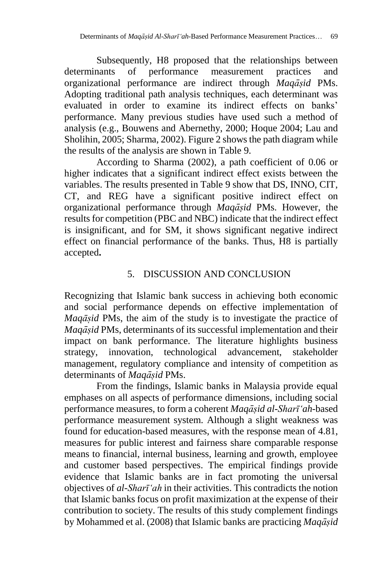Subsequently, H8 proposed that the relationships between determinants of performance measurement practices and organizational performance are indirect through *Maqāsiḍ* PMs. Adopting traditional path analysis techniques, each determinant was evaluated in order to examine its indirect effects on banks' performance. Many previous studies have used such a method of analysis (e.g., Bouwens and Abernethy, 2000; Hoque 2004; Lau and Sholihin, 2005; Sharma, 2002). Figure 2 shows the path diagram while the results of the analysis are shown in Table 9.

According to Sharma (2002), a path coefficient of 0.06 or higher indicates that a significant indirect effect exists between the variables. The results presented in Table 9 show that DS, INNO, CIT, CT, and REG have a significant positive indirect effect on organizational performance through *Maqāsiḍ* PMs. However, the results for competition (PBC and NBC) indicate that the indirect effect is insignificant, and for SM, it shows significant negative indirect effect on financial performance of the banks. Thus, H8 is partially accepted**.**

## 5. DISCUSSION AND CONCLUSION

Recognizing that Islamic bank success in achieving both economic and social performance depends on effective implementation of *Maqāsiḍ* PMs, the aim of the study is to investigate the practice of *Maqāsiḍ* PMs, determinants of its successful implementation and their impact on bank performance. The literature highlights business strategy, innovation, technological advancement, stakeholder management, regulatory compliance and intensity of competition as determinants of *Maqāsiḍ* PMs.

From the findings, Islamic banks in Malaysia provide equal emphases on all aspects of performance dimensions, including social performance measures, to form a coherent *Maqāsiḍ al-Sharī'ah-*based performance measurement system. Although a slight weakness was found for education-based measures, with the response mean of 4.81, measures for public interest and fairness share comparable response means to financial, internal business, learning and growth, employee and customer based perspectives. The empirical findings provide evidence that Islamic banks are in fact promoting the universal objectives of *al-Sharī'ah* in their activities. This contradicts the notion that Islamic banks focus on profit maximization at the expense of their contribution to society. The results of this study complement findings by Mohammed et al. (2008) that Islamic banks are practicing *Maqāsiḍ*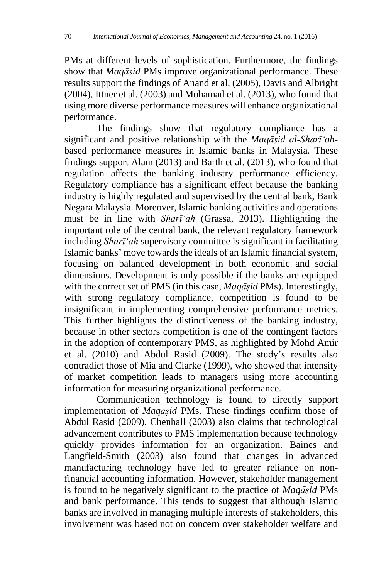PMs at different levels of sophistication. Furthermore, the findings show that *Maqāsiḍ* PMs improve organizational performance. These results support the findings of Anand et al. (2005), Davis and Albright (2004), Ittner et al. (2003) and Mohamad et al. (2013), who found that using more diverse performance measures will enhance organizational performance.

The findings show that regulatory compliance has a significant and positive relationship with the *Maqāsiḍ al-Sharī'ah*based performance measures in Islamic banks in Malaysia. These findings support Alam (2013) and Barth et al. (2013), who found that regulation affects the banking industry performance efficiency. Regulatory compliance has a significant effect because the banking industry is highly regulated and supervised by the central bank, Bank Negara Malaysia. Moreover, Islamic banking activities and operations must be in line with *Sharī'ah* (Grassa, 2013). Highlighting the important role of the central bank, the relevant regulatory framework including *Sharī'ah* supervisory committee is significant in facilitating Islamic banks' move towards the ideals of an Islamic financial system, focusing on balanced development in both economic and social dimensions. Development is only possible if the banks are equipped with the correct set of PMS (in this case, *Maqāsiḍ* PMs). Interestingly, with strong regulatory compliance, competition is found to be insignificant in implementing comprehensive performance metrics. This further highlights the distinctiveness of the banking industry, because in other sectors competition is one of the contingent factors in the adoption of contemporary PMS, as highlighted by Mohd Amir et al. (2010) and Abdul Rasid (2009). The study's results also contradict those of Mia and Clarke (1999), who showed that intensity of market competition leads to managers using more accounting information for measuring organizational performance.

Communication technology is found to directly support implementation of *Maqāsiḍ* PMs. These findings confirm those of Abdul Rasid (2009). Chenhall (2003) also claims that technological advancement contributes to PMS implementation because technology quickly provides information for an organization. Baines and Langfield-Smith (2003) also found that changes in advanced manufacturing technology have led to greater reliance on nonfinancial accounting information. However, stakeholder management is found to be negatively significant to the practice of *Maqāsiḍ* PMs and bank performance. This tends to suggest that although Islamic banks are involved in managing multiple interests of stakeholders, this involvement was based not on concern over stakeholder welfare and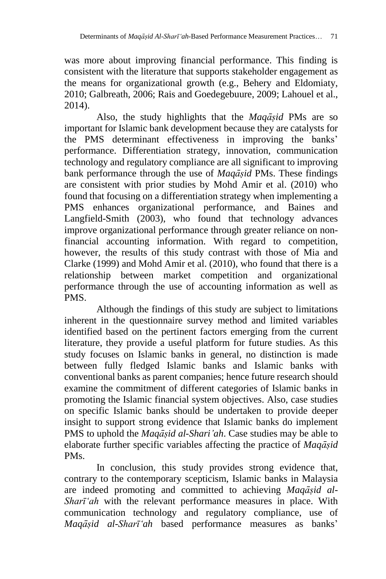was more about improving financial performance. This finding is consistent with the literature that supports stakeholder engagement as the means for organizational growth (e.g., Behery and Eldomiaty, 2010; Galbreath, 2006; Rais and Goedegebuure, 2009; Lahouel et al., 2014).

Also, the study highlights that the *Maqāsiḍ* PMs are so important for Islamic bank development because they are catalysts for the PMS determinant effectiveness in improving the banks' performance. Differentiation strategy, innovation, communication technology and regulatory compliance are all significant to improving bank performance through the use of *Maqāsiḍ* PMs. These findings are consistent with prior studies by Mohd Amir et al. (2010) who found that focusing on a differentiation strategy when implementing a PMS enhances organizational performance, and Baines and Langfield-Smith (2003), who found that technology advances improve organizational performance through greater reliance on nonfinancial accounting information. With regard to competition, however, the results of this study contrast with those of Mia and Clarke (1999) and Mohd Amir et al. (2010), who found that there is a relationship between market competition and organizational performance through the use of accounting information as well as PMS.

Although the findings of this study are subject to limitations inherent in the questionnaire survey method and limited variables identified based on the pertinent factors emerging from the current literature, they provide a useful platform for future studies. As this study focuses on Islamic banks in general, no distinction is made between fully fledged Islamic banks and Islamic banks with conventional banks as parent companies; hence future research should examine the commitment of different categories of Islamic banks in promoting the Islamic financial system objectives. Also, case studies on specific Islamic banks should be undertaken to provide deeper insight to support strong evidence that Islamic banks do implement PMS to uphold the *Maqāsiḍ al-Shari'ah*. Case studies may be able to elaborate further specific variables affecting the practice of *Maqāsiḍ* PMs.

In conclusion, this study provides strong evidence that, contrary to the contemporary scepticism, Islamic banks in Malaysia are indeed promoting and committed to achieving *Maqāsiḍ al-Sharī'ah* with the relevant performance measures in place. With communication technology and regulatory compliance, use of *Maqāsiḍ al-Sharī'ah* based performance measures as banks'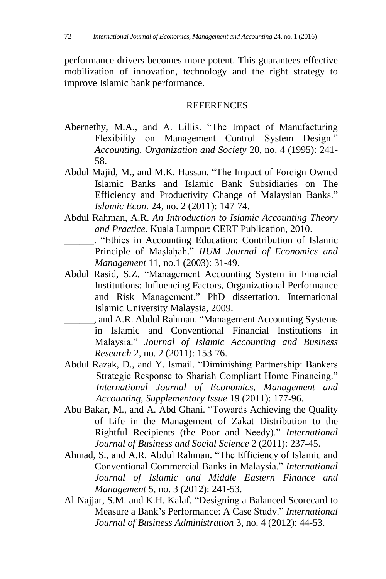performance drivers becomes more potent. This guarantees effective mobilization of innovation, technology and the right strategy to improve Islamic bank performance.

#### **REFERENCES**

- Abernethy, M.A., and A. Lillis. "The Impact of Manufacturing Flexibility on Management Control System Design." *Accounting, Organization and Society* 20, no. 4 (1995): 241- 58.
- Abdul Majid, M., and M.K. Hassan. "The Impact of Foreign-Owned Islamic Banks and Islamic Bank Subsidiaries on The Efficiency and Productivity Change of Malaysian Banks." *Islamic Econ.* 24, no. 2 (2011): 147-74.
- Abdul Rahman, A.R. *An Introduction to Islamic Accounting Theory and Practice.* Kuala Lumpur: CERT Publication, 2010.
	- \_\_\_\_\_\_. "Ethics in Accounting Education: Contribution of Islamic Principle of Maṣlahah. ̣ " *IIUM Journal of Economics and Management* 11, no.1 (2003): 31-49.
- Abdul Rasid, S.Z. "Management Accounting System in Financial Institutions: Influencing Factors, Organizational Performance and Risk Management." PhD dissertation, International Islamic University Malaysia, 2009.
- \_\_\_\_\_\_, and A.R. Abdul Rahman. "Management Accounting Systems in Islamic and Conventional Financial Institutions in Malaysia." *Journal of Islamic Accounting and Business Research* 2, no. 2 (2011): 153-76.
- Abdul Razak, D., and Y. Ismail. "Diminishing Partnership: Bankers Strategic Response to Shariah Compliant Home Financing." *International Journal of Economics, Management and Accounting, Supplementary Issue* 19 (2011): 177-96.
- Abu Bakar, M., and A. Abd Ghani. "Towards Achieving the Quality of Life in the Management of Zakat Distribution to the Rightful Recipients (the Poor and Needy)." *International Journal of Business and Social Science* 2 (2011): 237-45.
- Ahmad, S., and A.R. Abdul Rahman. "The Efficiency of Islamic and Conventional Commercial Banks in Malaysia." *International Journal of Islamic and Middle Eastern Finance and Management* 5, no. 3 (2012): 241-53.
- Al-Najjar, S.M. and K.H. Kalaf. "Designing a Balanced Scorecard to Measure a Bank's Performance: A Case Study." *International Journal of Business Administration* 3, no. 4 (2012): 44-53.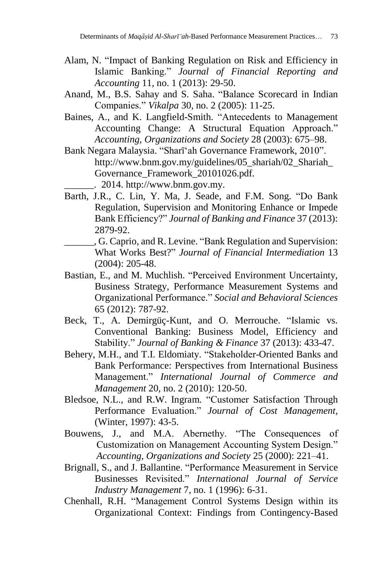- Alam, N. "Impact of Banking Regulation on Risk and Efficiency in Islamic Banking." *Journal of Financial Reporting and Accounting* 11, no. 1 (2013): 29-50.
- Anand, M., B.S. Sahay and S. Saha. "Balance Scorecard in Indian Companies." *Vikalpa* 30, no. 2 (2005): 11-25.
- Baines, A., and K. Langfield-Smith. "Antecedents to Management Accounting Change: A Structural Equation Approach." *Accounting, Organizations and Society* 28 (2003): 675–98.
- Bank Negara Malaysia. "Sharī'ah Governance Framework, 2010". [http://www.bnm.gov.my/guidelines/05\\_shariah/02\\_Shariah\\_](http://www.bnm.gov.my/guidelines/05_shariah/02_Shariah_Governance_Framework_20101026.pdf) [Governance\\_Framework\\_20101026.pdf](http://www.bnm.gov.my/guidelines/05_shariah/02_Shariah_Governance_Framework_20101026.pdf)*.*  $\therefore$  2014. http://www.bnm.gov.my.
- Barth, J.R., C. Lin, Y. Ma, J. Seade, and F.M. Song. "Do Bank Regulation, Supervision and Monitoring Enhance or Impede Bank Efficiency?" *Journal of Banking and Finance* 37 (2013): 2879-92.
- \_\_\_\_\_\_, G. Caprio, and R. Levine. "Bank Regulation and Supervision: What Works Best?" *Journal of Financial Intermediation* 13 (2004): 205-48.
- Bastian, E., and M. Muchlish. "Perceived Environment Uncertainty, Business Strategy, Performance Measurement Systems and Organizational Performance." *Social and Behavioral Sciences* 65 (2012): 787-92.
- Beck, T., A. Demirgüç-Kunt, and O. Merrouche. "Islamic vs. Conventional Banking: Business Model, Efficiency and Stability." *Journal of Banking & Finance* 37 (2013): 433-47.
- Behery, M.H., and T.I. Eldomiaty. "Stakeholder-Oriented Banks and Bank Performance: Perspectives from International Business Management." *International Journal of Commerce and Management* 20, no. 2 (2010): 120-50.
- Bledsoe, N.L., and R.W. Ingram. "Customer Satisfaction Through Performance Evaluation." *Journal of Cost Management*, (Winter, 1997): 43-5.
- Bouwens, J., and M.A. Abernethy. "The Consequences of Customization on Management Accounting System Design." *Accounting, Organizations and Society* 25 (2000): 221–41.
- Brignall, S., and J. Ballantine. "Performance Measurement in Service Businesses Revisited." *International Journal of Service Industry Management* 7, no. 1 (1996): 6-31.
- Chenhall, R.H. "Management Control Systems Design within its Organizational Context: Findings from Contingency-Based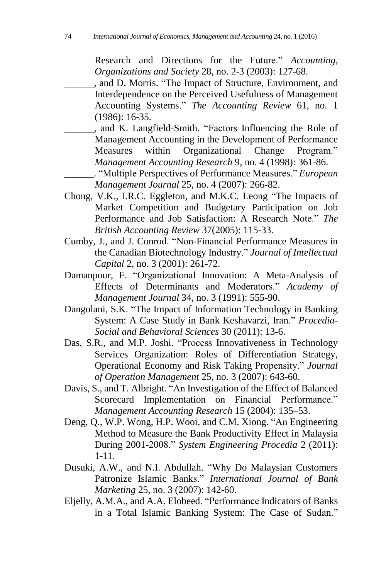Research and Directions for the Future." *Accounting, Organizations and Society* 28, no. 2-3 (2003): 127-68.

\_\_\_\_\_\_, and D. Morris. "The Impact of Structure, Environment, and Interdependence on the Perceived Usefulness of Management Accounting Systems." *The Accounting Review* 61, no. 1 (1986): 16-35.

\_\_\_\_\_\_, and K. Langfield-Smith. "Factors Influencing the Role of Management Accounting in the Development of Performance Measures within Organizational Change Program." *Management Accounting Research* 9, no. 4 (1998): 361-86.

\_\_\_\_\_\_. "Multiple Perspectives of Performance Measures." *European Management Journal* 25, no. 4 (2007): 266-82.

- Chong, V.K., I.R.C. Eggleton, and M.K.C. Leong "The Impacts of Market Competition and Budgetary Participation on Job Performance and Job Satisfaction: A Research Note." *The British Accounting Review* 37(2005): 115-33.
- Cumby, J., and J. Conrod. "Non-Financial Performance Measures in the Canadian Biotechnology Industry." *Journal of Intellectual Capital* 2, no. 3 (2001): 261-72.
- Damanpour, F. "Organizational Innovation: A Meta-Analysis of Effects of Determinants and Moderators." *Academy of Management Journal* 34, no. 3 (1991): 555-90.
- Dangolani, S.K. "The Impact of Information Technology in Banking System: A Case Study in Bank Keshavarzi, Iran." *Procedia-Social and Behavioral Sciences* 30 (2011): 13-6.
- Das, S.R., and M.P. Joshi. "Process Innovativeness in Technology Services Organization: Roles of Differentiation Strategy, Operational Economy and Risk Taking Propensity." *Journal of Operation Management* 25, no. 3 (2007): 643-60.
- Davis, S., and T. Albright. "An Investigation of the Effect of Balanced Scorecard Implementation on Financial Performance." *Management Accounting Research* 15 (2004): 135–53.
- Deng, Q., W.P. Wong, H.P. Wooi, and C.M. Xiong. "An Engineering Method to Measure the Bank Productivity Effect in Malaysia During 2001-2008." *System Engineering Procedia* 2 (2011): 1-11.
- Dusuki, A.W., and N.I. Abdullah. "Why Do Malaysian Customers Patronize Islamic Banks." *International Journal of Bank Marketing* 25, no. 3 (2007): 142-60.
- Eljelly, A.M.A., and A.A. Elobeed. "Performance Indicators of Banks in a Total Islamic Banking System: The Case of Sudan."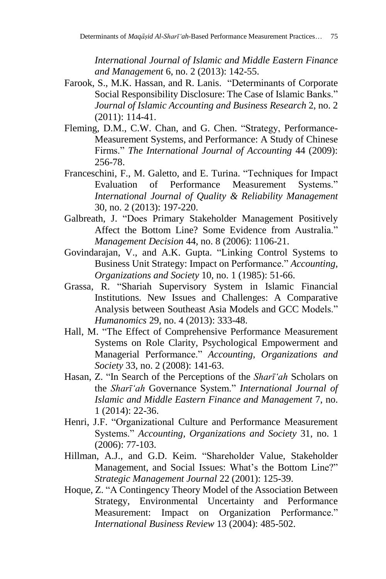*International Journal of Islamic and Middle Eastern Finance and Management* 6, no. 2 (2013): 142-55.

- Farook, S., M.K. Hassan, and R. Lanis. "Determinants of Corporate Social Responsibility Disclosure: The Case of Islamic Banks." *Journal of Islamic Accounting and Business Research* 2, no. 2 (2011): 114-41.
- Fleming, D.M., C.W. Chan, and G. Chen. "Strategy, Performance-Measurement Systems, and Performance: A Study of Chinese Firms." *The International Journal of Accounting* 44 (2009): 256-78.
- Franceschini, F., M. Galetto, and E. Turina. "Techniques for Impact Evaluation of Performance Measurement Systems." *International Journal of Quality & Reliability Management* 30, no. 2 (2013): 197-220.
- Galbreath, J. "Does Primary Stakeholder Management Positively Affect the Bottom Line? Some Evidence from Australia." *Management Decision* 44, no. 8 (2006): 1106-21.
- Govindarajan, V., and A.K. Gupta. "Linking Control Systems to Business Unit Strategy: Impact on Performance." *Accounting, Organizations and Society* 10, no. 1 (1985): 51-66.
- Grassa, R. "Shariah Supervisory System in Islamic Financial Institutions. New Issues and Challenges: A Comparative Analysis between Southeast Asia Models and GCC Models." *Humanomics* 29, no. 4 (2013): 333-48.
- Hall, M. "The Effect of Comprehensive Performance Measurement Systems on Role Clarity, Psychological Empowerment and Managerial Performance." *Accounting, Organizations and Society* 33, no. 2 (2008): 141-63.
- Hasan, Z. "In Search of the Perceptions of the *Sharī'ah* Scholars on the *Sharī'ah* Governance System." *International Journal of Islamic and Middle Eastern Finance and Management* 7, no. 1 (2014): 22-36.
- Henri, J.F. "Organizational Culture and Performance Measurement Systems." *Accounting, Organizations and Society* 31, no. 1 (2006): 77-103.
- Hillman, A.J., and G.D. Keim. "Shareholder Value, Stakeholder Management, and Social Issues: What's the Bottom Line?" *Strategic Management Journal* 22 (2001): 125-39.
- Hoque, Z. "A Contingency Theory Model of the Association Between Strategy, Environmental Uncertainty and Performance Measurement: Impact on Organization Performance." *International Business Review* 13 (2004): 485-502.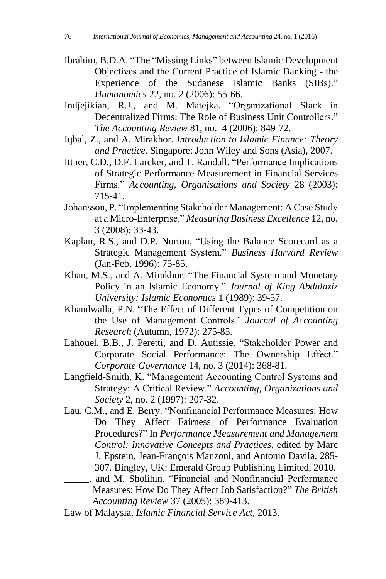- Ibrahim, B.D.A. "The "Missing Links" between Islamic Development Objectives and the Current Practice of Islamic Banking - the Experience of the Sudanese Islamic Banks (SIBs)." *Humanomics* 22, no. 2 (2006): 55-66.
- Indjejikian, R.J., and M. Matejka. "Organizational Slack in Decentralized Firms: The Role of Business Unit Controllers." *The Accounting Review* 81, no. 4 (2006): 849-72.
- Iqbal, Z., and A. Mirakhor. *Introduction to Islamic Finance: Theory and Practice.* Singapore: John Wiley and Sons (Asia), 2007.
- Ittner, C.D., D.F. Larcker, and T. Randall. "Performance Implications of Strategic Performance Measurement in Financial Services Firms." *Accounting, Organisations and Society* 28 (2003): 715-41.
- Johansson, P. "Implementing Stakeholder Management: A Case Study at a Micro-Enterprise." *Measuring Business Excellence* 12, no. 3 (2008): 33-43.
- Kaplan, R.S., and D.P. Norton. "Using the Balance Scorecard as a Strategic Management System." *Business Harvard Review* (Jan-Feb, 1996): 75-85.
- Khan, M.S., and A. Mirakhor. "The Financial System and Monetary Policy in an Islamic Economy." *Journal of King Abdulaziz University: Islamic Economics* 1 (1989): 39-57.
- Khandwalla, P.N. "The Effect of Different Types of Competition on the Use of Management Controls.' *Journal of Accounting Research* (Autumn, 1972): 275-85.
- Lahouel, B.B., J. Peretti, and D. Autissie. "Stakeholder Power and Corporate Social Performance: The Ownership Effect." *Corporate Governance* 14, no. 3 (2014): 368-81.
- Langfield-Smith, K. "Management Accounting Control Systems and Strategy: A Critical Review." *Accounting, Organizations and Society* 2, no. 2 (1997): 207-32.
- Lau, C.M., and E. Berry. "Nonfinancial Performance Measures: How Do They Affect Fairness of Performance Evaluation Procedures?" In *Performance Measurement and Management Control: Innovative Concepts and Practices*, edited by Marc J. Epstein, Jean-François Manzoni, and Antonio Davila, 285- 307. Bingley, UK: Emerald Group Publishing Limited, 2010.
	- \_\_\_\_\_, and M. Sholihin. "Financial and Nonfinancial Performance Measures: How Do They Affect Job Satisfaction?" *The British Accounting Review* 37 (2005): 389-413.

Law of Malaysia*, Islamic Financial Service Act,* 2013.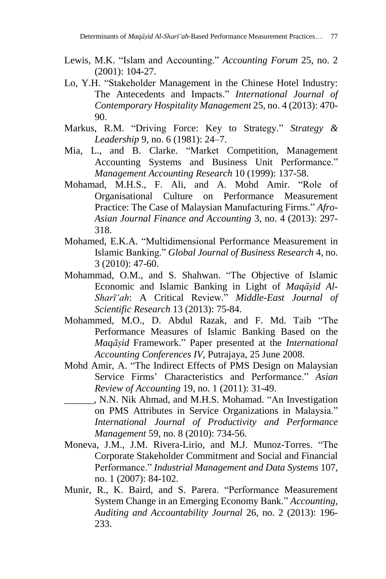- Lewis, M.K. "Islam and Accounting." *Accounting Forum* 25, no. 2 (2001): 104-27.
- Lo, Y.H. "Stakeholder Management in the Chinese Hotel Industry: The Antecedents and Impacts." *International Journal of Contemporary Hospitality Management* 25, no. 4 (2013): 470- 90.
- Markus, R.M. "Driving Force: Key to Strategy." *Strategy & Leadership* 9, no. 6 (1981): 24–7.
- Mia, L., and B. Clarke. "Market Competition, Management Accounting Systems and Business Unit Performance." *Management Accounting Research* 10 (1999): 137-58.
- Mohamad, M.H.S., F. Ali, and A. Mohd Amir. "Role of Organisational Culture on Performance Measurement Practice: The Case of Malaysian Manufacturing Firms." *Afro-Asian Journal Finance and Accounting* 3, no. 4 (2013): 297- 318.
- Mohamed, E.K.A. "Multidimensional Performance Measurement in Islamic Banking." *Global Journal of Business Research* 4, no. 3 (2010): 47-60.
- Mohammad, O.M., and S. Shahwan. "The Objective of Islamic Economic and Islamic Banking in Light of *Maqāsiḍ Al-Sharī'ah*: A Critical Review." *Middle-East Journal of Scientific Research* 13 (2013): 75-84.
- Mohammed, M.O., D. Abdul Razak, and F. Md. Taib "The Performance Measures of Islamic Banking Based on the *Maqāsiḍ* Framework." Paper presented at the *International Accounting Conferences IV*, Putrajaya, 25 June 2008.
- Mohd Amir, A. "The Indirect Effects of PMS Design on Malaysian Service Firms' Characteristics and Performance." *Asian Review of Accounting* 19, no. 1 (2011): 31-49.
- \_\_\_\_\_\_, N.N. Nik Ahmad, and M.H.S. Mohamad. "An Investigation on PMS Attributes in Service Organizations in Malaysia." *International Journal of Productivity and Performance Management* 59, no. 8 (2010): 734-56.
- Moneva, J.M., J.M. Rivera-Lirio, and M.J. Munoz-Torres. "The Corporate Stakeholder Commitment and Social and Financial Performance." *Industrial Management and Data Systems* 107, no. 1 (2007): 84-102.
- Munir, R., K. Baird, and S. Parera. "Performance Measurement System Change in an Emerging Economy Bank." *Accounting, Auditing and Accountability Journal* 26, no. 2 (2013): 196- 233.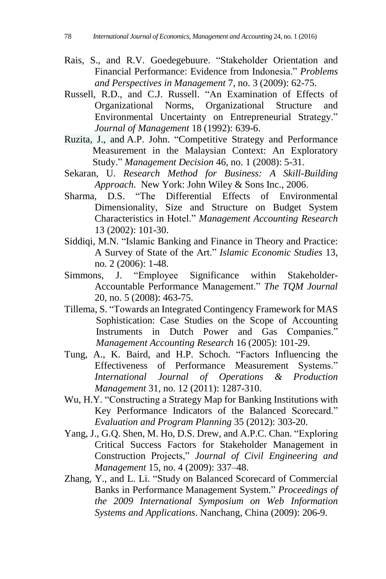- Rais, S., and R.V. Goedegebuure. "Stakeholder Orientation and Financial Performance: Evidence from Indonesia." *Problems and Perspectives in Management* 7, no. 3 (2009): 62-75.
- Russell, R.D., and C.J. Russell. "An Examination of Effects of Organizational Norms, Organizational Structure and Environmental Uncertainty on Entrepreneurial Strategy." *Journal of Management* 18 (1992): 639-6.
- Ruzita, J., and A.P. John. "Competitive Strategy and Performance Measurement in the Malaysian Context: An Exploratory Study." *Management Decision* 46, no. 1 (2008): 5-31.
- Sekaran, U. *Research Method for Business: A Skill-Building Approach*. New York: John Wiley & Sons Inc., 2006.
- Sharma, D.S. "The Differential Effects of Environmental Dimensionality, Size and Structure on Budget System Characteristics in Hotel." *Management Accounting Research* 13 (2002): 101-30.
- Siddiqi, M.N. "Islamic Banking and Finance in Theory and Practice: A Survey of State of the Art." *Islamic Economic Studies* 13, no. 2 (2006): 1-48.
- Simmons, J. "Employee Significance within Stakeholder-Accountable Performance Management." *The TQM Journal* 20, no. 5 (2008): 463-75.
- Tillema, S. "Towards an Integrated Contingency Framework for MAS Sophistication: Case Studies on the Scope of Accounting Instruments in Dutch Power and Gas Companies." *Management Accounting Research* 16 (2005): 101-29.
- Tung, A., K. Baird, and H.P. Schoch. "Factors Influencing the Effectiveness of Performance Measurement Systems." *International Journal of Operations & Production Management* 31, no. 12 (2011): 1287-310.
- Wu, H.Y. "Constructing a Strategy Map for Banking Institutions with Key Performance Indicators of the Balanced Scorecard." *Evaluation and Program Planning* 35 (2012): 303-20.
- Yang, J., G.Q. Shen, M. Ho, D.S. Drew, and A.P.C. Chan. "Exploring Critical Success Factors for Stakeholder Management in Construction Projects," *Journal of Civil Engineering and Management* 15, no. 4 (2009): 337–48.
- Zhang, Y., and L. Li. "Study on Balanced Scorecard of Commercial Banks in Performance Management System." *Proceedings of the 2009 International Symposium on Web Information Systems and Applications*. Nanchang, China (2009): 206-9.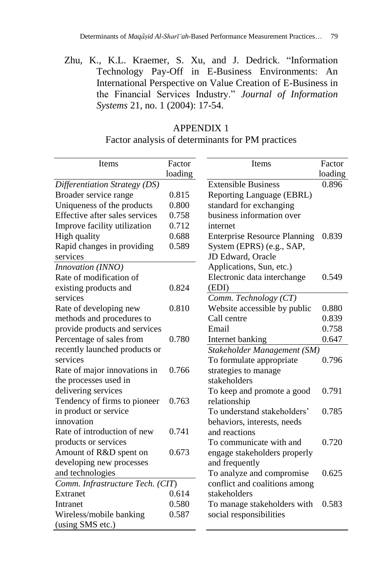Zhu, K., K.L. Kraemer, S. Xu, and J. Dedrick. "Information Technology Pay-Off in E-Business Environments: An International Perspective on Value Creation of E-Business in the Financial Services Industry." *Journal of Information Systems* 21, no. 1 (2004): 17-54.

#### APPENDIX 1

Factor analysis of determinants for PM practices

| Items                            | Factor  | Items                               | Factor  |
|----------------------------------|---------|-------------------------------------|---------|
|                                  | loading |                                     | loading |
| Differentiation Strategy (DS)    |         | <b>Extensible Business</b>          | 0.896   |
| Broader service range            | 0.815   | Reporting Language (EBRL)           |         |
| Uniqueness of the products       | 0.800   | standard for exchanging             |         |
| Effective after sales services   | 0.758   | business information over           |         |
| Improve facility utilization     | 0.712   | internet                            |         |
| High quality                     | 0.688   | <b>Enterprise Resource Planning</b> | 0.839   |
| Rapid changes in providing       | 0.589   | System (EPRS) (e.g., SAP,           |         |
| services                         |         | JD Edward, Oracle                   |         |
| Innovation (INNO)                |         | Applications, Sun, etc.)            |         |
| Rate of modification of          |         | Electronic data interchange         | 0.549   |
| existing products and            | 0.824   | (EDI)                               |         |
| services                         |         | Comm. Technology (CT)               |         |
| Rate of developing new           | 0.810   | Website accessible by public        | 0.880   |
| methods and procedures to        |         | Call centre                         | 0.839   |
| provide products and services    |         | Email                               | 0.758   |
| Percentage of sales from         | 0.780   | Internet banking                    | 0.647   |
| recently launched products or    |         | Stakeholder Management (SM)         |         |
| services                         |         | To formulate appropriate            | 0.796   |
| Rate of major innovations in     | 0.766   | strategies to manage                |         |
| the processes used in            |         | stakeholders                        |         |
| delivering services              |         | To keep and promote a good          | 0.791   |
| Tendency of firms to pioneer     | 0.763   | relationship                        |         |
| in product or service            |         | To understand stakeholders'         | 0.785   |
| innovation                       |         | behaviors, interests, needs         |         |
| Rate of introduction of new      | 0.741   | and reactions                       |         |
| products or services             |         | To communicate with and             | 0.720   |
| Amount of R&D spent on           | 0.673   | engage stakeholders properly        |         |
| developing new processes         |         | and frequently                      |         |
| and technologies                 |         | To analyze and compromise           | 0.625   |
| Comm. Infrastructure Tech. (CIT) |         | conflict and coalitions among       |         |
| Extranet                         | 0.614   | stakeholders                        |         |
| Intranet                         | 0.580   | To manage stakeholders with         | 0.583   |
| Wireless/mobile banking          | 0.587   | social responsibilities             |         |
| (using SMS etc.)                 |         |                                     |         |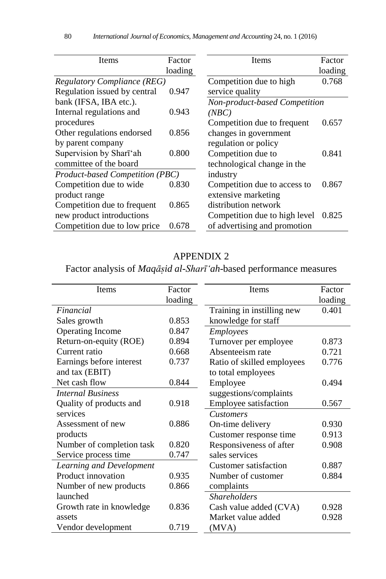| Items                              | Factor  | Items                         | Factor  |
|------------------------------------|---------|-------------------------------|---------|
|                                    | loading |                               | loading |
| <b>Regulatory Compliance (REG)</b> |         | Competition due to high       | 0.768   |
| Regulation issued by central       | 0.947   | service quality               |         |
| bank (IFSA, IBA etc.).             |         | Non-product-based Competition |         |
| Internal regulations and           | 0.943   | (NBC)                         |         |
| procedures                         |         | Competition due to frequent   | 0.657   |
| Other regulations endorsed         | 0.856   | changes in government         |         |
| by parent company                  |         | regulation or policy          |         |
| Supervision by Sharī'ah            | 0.800   | Competition due to            | 0.841   |
| committee of the board             |         | technological change in the   |         |
| Product-based Competition (PBC)    |         | industry                      |         |
| Competition due to wide            | 0.830   | Competition due to access to  | 0.867   |
| product range                      |         | extensive marketing           |         |
| Competition due to frequent        | 0.865   | distribution network          |         |
| new product introductions          |         | Competition due to high level | 0.825   |
| Competition due to low price       | 0.678   | of advertising and promotion  |         |

## APPENDIX 2

Factor analysis of *Maqāsiḍ al-Sharī'ah*-based performance measures

| Items                     | Factor  | <b>Items</b>               | Factor  |
|---------------------------|---------|----------------------------|---------|
|                           | loading |                            | loading |
| Financial                 |         | Training in instilling new | 0.401   |
| Sales growth              | 0.853   | knowledge for staff        |         |
| <b>Operating Income</b>   | 0.847   | Employees                  |         |
| Return-on-equity (ROE)    | 0.894   | Turnover per employee      | 0.873   |
| Current ratio             | 0.668   | Absenteeism rate           | 0.721   |
| Earnings before interest  | 0.737   | Ratio of skilled employees | 0.776   |
| and tax (EBIT)            |         | to total employees         |         |
| Net cash flow             | 0.844   | Employee                   | 0.494   |
| <b>Internal Business</b>  |         | suggestions/complaints     |         |
| Quality of products and   | 0.918   | Employee satisfaction      | 0.567   |
| services                  |         | <b>Customers</b>           |         |
| Assessment of new         | 0.886   | On-time delivery           | 0.930   |
| products                  |         | Customer response time     | 0.913   |
| Number of completion task | 0.820   | Responsiveness of after    | 0.908   |
| Service process time      | 0.747   | sales services             |         |
| Learning and Development  |         | Customer satisfaction      | 0.887   |
| Product innovation        | 0.935   | Number of customer         | 0.884   |
| Number of new products    | 0.866   | complaints                 |         |
| launched                  |         | <b>Shareholders</b>        |         |
| Growth rate in knowledge  | 0.836   | Cash value added (CVA)     | 0.928   |
| assets                    |         | Market value added         | 0.928   |
| Vendor development        | 0.719   | (MVA)                      |         |